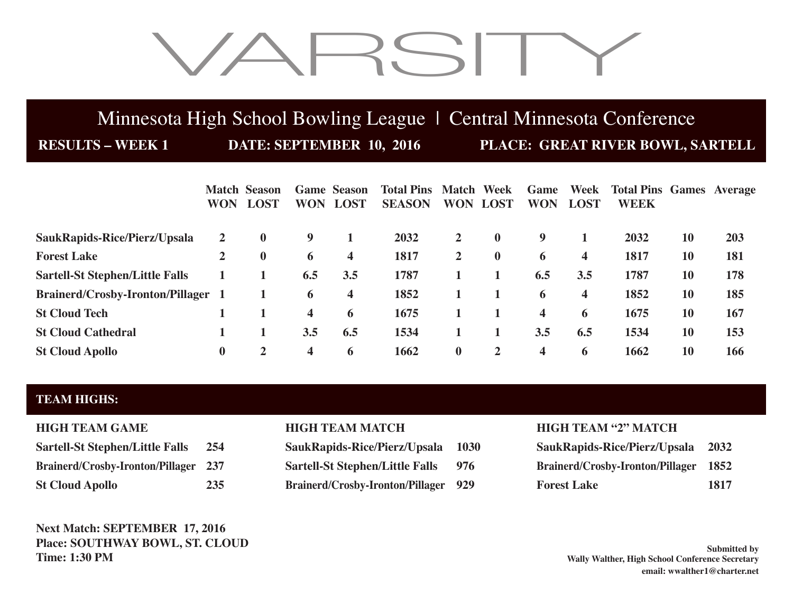# VARSITY

## Minnesota High School Bowling League | Central Minnesota Conference

**RESULTS – WEEK 1 DATE: SEPTEMBER 10, 2016 PLACE: GREAT RIVER BOWL, SARTELL** 

|                                           | <b>WON</b>     | <b>Match Season</b><br><b>LOST</b> | <b>WON</b>              | <b>Game Season</b><br><b>LOST</b> | <b>Total Pins Match Week</b><br><b>SEASON</b> | <b>WON</b>   | <b>LOST</b>  | Game<br><b>WON</b>      | Week<br><b>LOST</b> | <b>Total Pins Games Average</b><br><b>WEEK</b> |    |     |
|-------------------------------------------|----------------|------------------------------------|-------------------------|-----------------------------------|-----------------------------------------------|--------------|--------------|-------------------------|---------------------|------------------------------------------------|----|-----|
| SaukRapids-Rice/Pierz/Upsala              | 2              | $\bf{0}$                           | 9                       |                                   | 2032                                          | $\mathbf{2}$ | $\mathbf{0}$ | 9                       |                     | 2032                                           | 10 | 203 |
| <b>Forest Lake</b>                        | $\overline{2}$ | $\bf{0}$                           | 6                       | 4                                 | 1817                                          | $\mathbf{2}$ | $\bf{0}$     | 6                       | 4                   | 1817                                           | 10 | 181 |
| <b>Sartell-St Stephen/Little Falls</b>    |                |                                    | 6.5                     | 3.5                               | 1787                                          |              |              | 6.5                     | 3.5                 | 1787                                           | 10 | 178 |
| <b>Brainerd/Crosby-Ironton/Pillager 1</b> |                |                                    | 6                       | 4                                 | 1852                                          |              |              | 6                       | 4                   | 1852                                           | 10 | 185 |
| <b>St Cloud Tech</b>                      |                |                                    | 4                       | 6                                 | 1675                                          |              |              | $\overline{\mathbf{4}}$ | 6                   | 1675                                           | 10 | 167 |
| <b>St Cloud Cathedral</b>                 |                |                                    | 3.5                     | 6.5                               | 1534                                          |              |              | 3.5                     | 6.5                 | 1534                                           | 10 | 153 |
| <b>St Cloud Apollo</b>                    | $\bf{0}$       | 2                                  | $\overline{\mathbf{4}}$ | 6                                 | 1662                                          | $\bf{0}$     | $\mathbf{2}$ | $\overline{\mathbf{4}}$ | 6                   | 1662                                           | 10 | 166 |

## **TEAM HIGHS:**

| <b>Sartell-St Stephen/Little Falls</b>      | 254 |
|---------------------------------------------|-----|
| <b>Brainerd/Crosby-Ironton/Pillager 237</b> |     |
| <b>St Cloud Apollo</b>                      | 235 |

**Next Match: SEPTEMBER 17, 2016 Place: SOUTHWAY BOWL, ST. CLOUD Time: 1:30 PM**

 $SaukRapids-Rice/Pierz/Upsala 1030$ **Sartell-St Stephen/Little Falls 976 Brainerd/Crosby-Ironton/Pillager 929** 

## **HIGH TEAM GAME HIGH TEAM MATCH HIGH TEAM "2" MATCH**

| SaukRapids-Rice/Pierz/Upsala 2032     |      |
|---------------------------------------|------|
| Brainerd/Crosby-Ironton/Pillager 1852 |      |
| <b>Forest Lake</b>                    | 1817 |